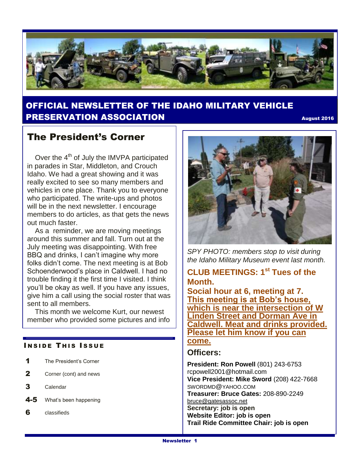

### OFFICIAL NEWSLETTER OF THE IDAHO MILITARY VEHICLE **PRESERVATION ASSOCIATION EXECUTE 2016** August 2016

### The President's Corner

Over the  $4<sup>th</sup>$  of July the IMVPA participated in parades in Star, Middleton, and Crouch Idaho. We had a great showing and it was really excited to see so many members and vehicles in one place. Thank you to everyone who participated. The write-ups and photos will be in the next newsletter. I encourage members to do articles, as that gets the news out much faster.

 As a reminder, we are moving meetings around this summer and fall. Turn out at the July meeting was disappointing. With free BBQ and drinks, I can't imagine why more folks didn't come. The next meeting is at Bob Schoenderwood's place in Caldwell. I had no trouble finding it the first time I visited. I think you'll be okay as well. If you have any issues, give him a call using the social roster that was sent to all members.

 This month we welcome Kurt, our newest member who provided some pictures and info

#### **INSIDE THIS ISSUE**

- 1 The President's Corner
- 2 Corner (cont) and news
- 3 Calendar
- 4-5 What's been happening
- 6 classifieds



*SPY PHOTO: members stop to visit during the Idaho Military Museum event last month.* 

### **CLUB MEETINGS: 1 st Tues of the Month.**

**Social hour at 6, meeting at 7. This meeting is at Bob's house, which is near the intersection of W Linden Street and Dorman Ave in Caldwell. Meat and drinks provided. Please let him know if you can come.**

#### **Officers:**

**President: Ron Powell** (801) 243-6753 rcpowell2001@hotmail.com **Vice President: Mike Sword** (208) 422-7668 SWORDMD@YAHOO.COM **Treasurer: Bruce Gates:** 208-890-2249 [bruce@gatesassoc.net](mailto:bruce@gatesassoc.net) **Secretary: job is open Website Editor: job is open Trail Ride Committee Chair: job is open**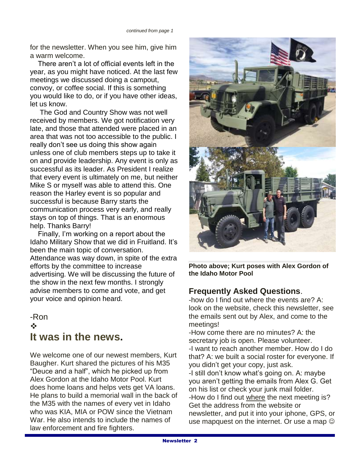for the newsletter. When you see him, give him a warm welcome.

 There aren't a lot of official events left in the year, as you might have noticed. At the last few meetings we discussed doing a campout, convoy, or coffee social. If this is something you would like to do, or if you have other ideas, let us know.

 The God and Country Show was not well received by members. We got notification very late, and those that attended were placed in an area that was not too accessible to the public. I really don't see us doing this show again unless one of club members steps up to take it on and provide leadership. Any event is only as successful as its leader. As President I realize that every event is ultimately on me, but neither Mike S or myself was able to attend this. One reason the Harley event is so popular and successful is because Barry starts the communication process very early, and really stays on top of things. That is an enormous help. Thanks Barry!

 Finally, I'm working on a report about the Idaho Military Show that we did in Fruitland. It's been the main topic of conversation. Attendance was way down, in spite of the extra efforts by the committee to increase advertising. We will be discussing the future of the show in the next few months. I strongly advise members to come and vote, and get your voice and opinion heard.

### -Ron  $\frac{1}{2}$ **It was in the news.**

We welcome one of our newest members, Kurt Baugher. Kurt shared the pictures of his M35 "Deuce and a half", which he picked up from Alex Gordon at the Idaho Motor Pool. Kurt does home loans and helps vets get VA loans. He plans to build a memorial wall in the back of the M35 with the names of every vet in Idaho who was KIA, MIA or POW since the Vietnam War. He also intends to include the names of law enforcement and fire fighters.



**Photo above; Kurt poses with Alex Gordon of the Idaho Motor Pool**

#### **Frequently Asked Questions**.

-how do I find out where the events are? A: look on the website, check this newsletter, see the emails sent out by Alex, and come to the meetings!

-How come there are no minutes? A: the secretary job is open. Please volunteer. -I want to reach another member. How do I do that? A: we built a social roster for everyone. If you didn't get your copy, just ask.

-I still don't know what's going on. A: maybe you aren't getting the emails from Alex G. Get on his list or check your junk mail folder. -How do I find out where the next meeting is? Get the address from the website or newsletter, and put it into your iphone, GPS, or use mapquest on the internet. Or use a map  $\odot$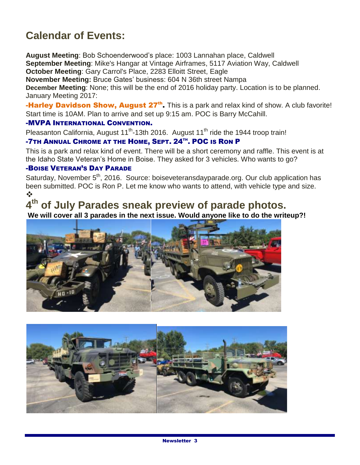## **Calendar of Events:**

**August Meeting**: Bob Schoenderwood's place: 1003 Lannahan place, Caldwell **September Meeting**: Mike's Hangar at Vintage Airframes, 5117 Aviation Way, Caldwell **October Meeting**: Gary Carrol's Place, 2283 Elloitt Street, Eagle

**November Meeting:** Bruce Gates' business: 604 N 36th street Nampa

**December Meeting**: None; this will be the end of 2016 holiday party. Location is to be planned. January Meeting 2017:

**-Harley Davidson Show, August 27<sup>th</sup>.** This is a park and relax kind of show. A club favorite! Start time is 10AM. Plan to arrive and set up 9:15 am. POC is Barry McCahill.

#### -MVPA INTERNATIONAL CONVENTION.

Pleasanton California, August 11<sup>th</sup>-13th 2016. August 11<sup>th</sup> ride the 1944 troop train!

#### **-7TH ANNUAL CHROME AT THE HOME, SEPT. 24TH. POC IS RON P**

This is a park and relax kind of event. There will be a short ceremony and raffle. This event is at the Idaho State Veteran's Home in Boise. They asked for 3 vehicles. Who wants to go?

#### -BOISE VETERAN'S DAY PARADE

Saturday, November 5<sup>th</sup>, 2016. Source: boiseveteransdayparade.org. Our club application has been submitted. POC is Ron P. Let me know who wants to attend, with vehicle type and size.  $\frac{1}{2}$ 

# **4 th of July Parades sneak preview of parade photos.**

**We will cover all 3 parades in the next issue. Would anyone like to do the writeup?!**



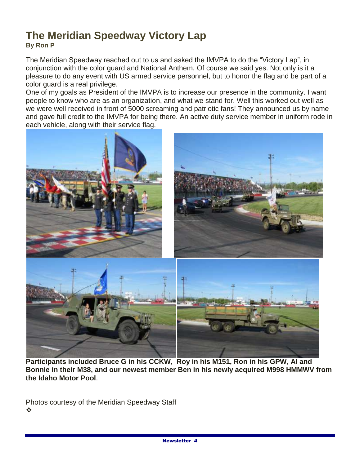### **The Meridian Speedway Victory Lap By Ron P**

The Meridian Speedway reached out to us and asked the IMVPA to do the "Victory Lap", in conjunction with the color guard and National Anthem. Of course we said yes. Not only is it a pleasure to do any event with US armed service personnel, but to honor the flag and be part of a color guard is a real privilege.

One of my goals as President of the IMVPA is to increase our presence in the community. I want people to know who are as an organization, and what we stand for. Well this worked out well as we were well received in front of 5000 screaming and patriotic fans! They announced us by name and gave full credit to the IMVPA for being there. An active duty service member in uniform rode in each vehicle, along with their service flag.



**Participants included Bruce G in his CCKW, Roy in his M151, Ron in his GPW, Al and Bonnie in their M38, and our newest member Ben in his newly acquired M998 HMMWV from the Idaho Motor Pool**.

Photos courtesy of the Meridian Speedway Staff  $\frac{1}{2}$